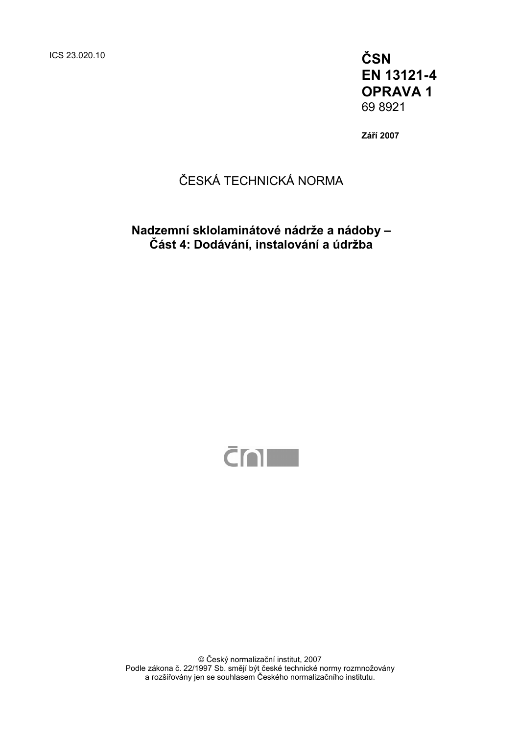ICS 23.020.10 **ČSN EN 13121-4 OPRAVA 1**  69 8921

**Září 2007** 

## ČESKÁ TECHNICKÁ NORMA

**Nadzemní sklolaminátové nádrže a nádoby – Část 4: Dodávání, instalování a údržba** 



© Český normalizační institut, 2007 Podle zákona č. 22/1997 Sb. smějí být české technické normy rozmnožovány a rozšiřovány jen se souhlasem Českého normalizačního institutu.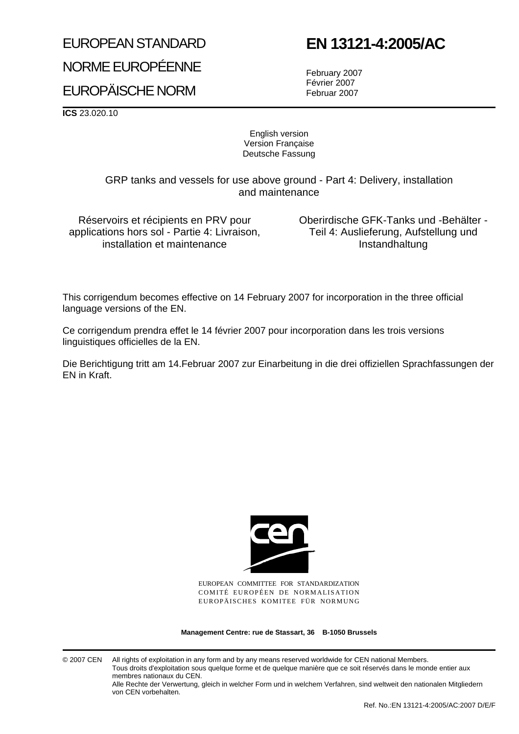# EUROPEAN STANDARD NORME EUROPÉENNE EUROPÄISCHE NORM

# **EN 13121-4:2005/AC**

February 2007 Février 2007 Februar 2007

**ICS** 23.020.10

English version Version Française Deutsche Fassung

GRP tanks and vessels for use above ground - Part 4: Delivery, installation and maintenance

Réservoirs et récipients en PRV pour applications hors sol - Partie 4: Livraison, installation et maintenance

Oberirdische GFK-Tanks und -Behälter - Teil 4: Auslieferung, Aufstellung und Instandhaltung

This corrigendum becomes effective on 14 February 2007 for incorporation in the three official language versions of the EN.

Ce corrigendum prendra effet le 14 février 2007 pour incorporation dans les trois versions linguistiques officielles de la EN.

Die Berichtigung tritt am 14.Februar 2007 zur Einarbeitung in die drei offiziellen Sprachfassungen der EN in Kraft.



EUROPEAN COMMITTEE FOR STANDARDIZATION COMITÉ EUROPÉEN DE NORMALISATION EUROPÄISCHES KOMITEE FÜR NORMUNG

**Management Centre: rue de Stassart, 36 B-1050 Brussels**

© 2007 CEN All rights of exploitation in any form and by any means reserved worldwide for CEN national Members. Tous droits d'exploitation sous quelque forme et de quelque manière que ce soit réservés dans le monde entier aux membres nationaux du CEN.

Alle Rechte der Verwertung, gleich in welcher Form und in welchem Verfahren, sind weltweit den nationalen Mitgliedern von CEN vorbehalten.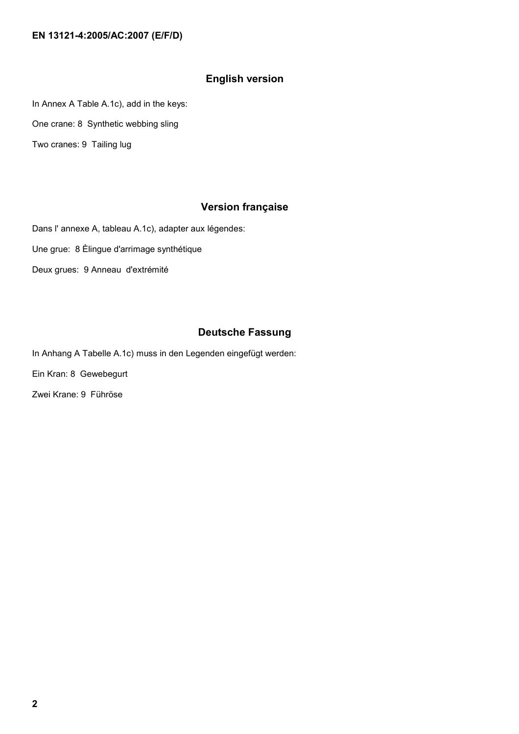#### **EN 13121-4:2005/AC:2007 (E/F/D)**

#### **English version**

In Annex A Table A.1c), add in the keys:

One crane: 8 Synthetic webbing sling

Two cranes: 9 Tailing lug

### **Version française**

Dans l' annexe A, tableau A.1c), adapter aux légendes:

Une grue: 8 Èlingue d'arrimage synthétique

Deux grues: 9 Anneau d'extrémité

### **Deutsche Fassung**

In Anhang A Tabelle A.1c) muss in den Legenden eingefügt werden:

Ein Kran: 8 Gewebegurt

Zwei Krane: 9 Führöse